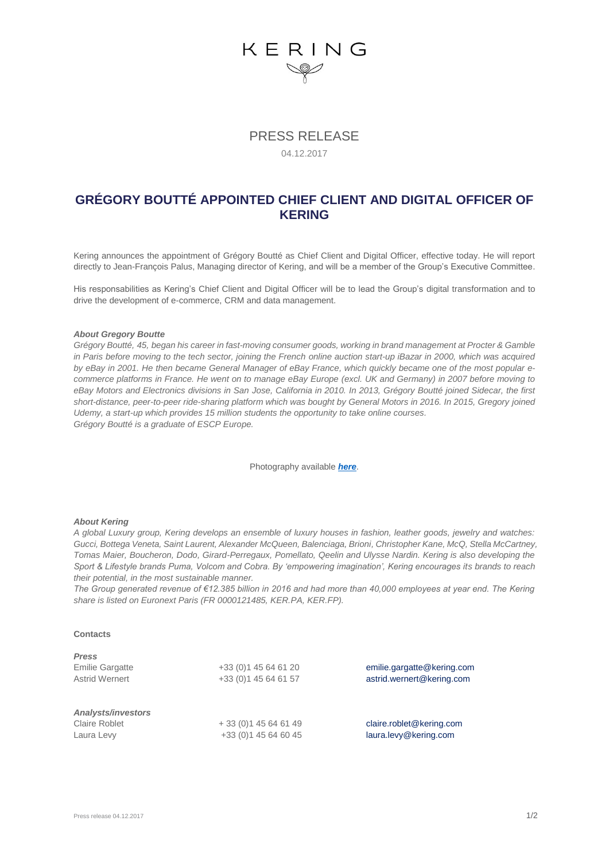# KERING

## PRESS RELEASE

#### 04.12.2017

### **GRÉGORY BOUTTÉ APPOINTED CHIEF CLIENT AND DIGITAL OFFICER OF KERING**

Kering announces the appointment of Grégory Boutté as Chief Client and Digital Officer, effective today. He will report directly to Jean-François Palus, Managing director of Kering, and will be a member of the Group's Executive Committee.

His responsabilities as Kering's Chief Client and Digital Officer will be to lead the Group's digital transformation and to drive the development of e-commerce, CRM and data management.

#### *About Gregory Boutte*

*Grégory Boutté, 45, began his career in fast-moving consumer goods, working in brand management at Procter & Gamble in Paris before moving to the tech sector, joining the French online auction start-up iBazar in 2000, which was acquired by eBay in 2001. He then became General Manager of eBay France, which quickly became one of the most popular ecommerce platforms in France. He went on to manage eBay Europe (excl. UK and Germany) in 2007 before moving to eBay Motors and Electronics divisions in San Jose, California in 2010. In 2013, Grégory Boutté joined Sidecar, the first short-distance, peer-to-peer ride-sharing platform which was bought by General Motors in 2016. In 2015, Gregory joined Udemy, a start-up which provides 15 million students the opportunity to take online courses. Grégory Boutté is a graduate of ESCP Europe.*

Photography available *[here](https://we.tl/Akl0XMWoUI)*.

#### *About Kering*

*A global Luxury group, Kering develops an ensemble of luxury houses in fashion, leather goods, jewelry and watches: Gucci, Bottega Veneta, Saint Laurent, Alexander McQueen, Balenciaga, Brioni, Christopher Kane, McQ, Stella McCartney, Tomas Maier, Boucheron, Dodo, Girard-Perregaux, Pomellato, Qeelin and Ulysse Nardin. Kering is also developing the Sport & Lifestyle brands Puma, Volcom and Cobra. By 'empowering imagination', Kering encourages its brands to reach their potential, in the most sustainable manner.* 

*The Group generated revenue of €12.385 billion in 2016 and had more than 40,000 employees at year end. The Kering share is listed on Euronext Paris (FR 0000121485, KER.PA, KER.FP).*

#### **Contacts**

| <b>Press</b>              |                       |                            |
|---------------------------|-----------------------|----------------------------|
| <b>Emilie Gargatte</b>    | +33 (0) 1 45 64 61 20 | emilie.gargatte@kering.com |
| Astrid Wernert            | +33 (0) 1 45 64 61 57 | astrid.wernert@kering.com  |
| <b>Analysts/investors</b> |                       |                            |
| <b>Claire Roblet</b>      | $+33(0)145646149$     | claire.roblet@kering.com   |
| Laura Levy                | +33 (0) 1 45 64 60 45 | laura.levy@kering.com      |